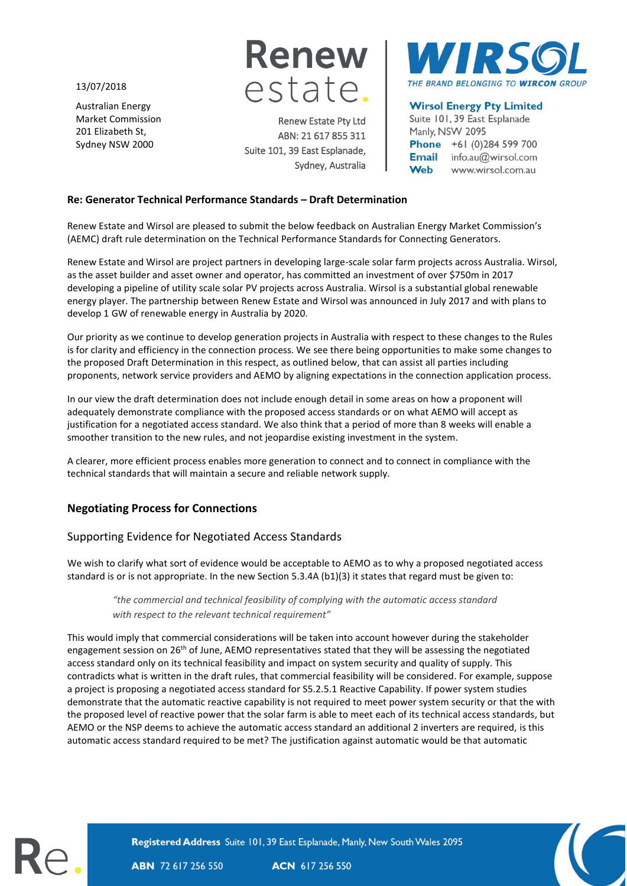13/07/2018

Australian Energy Market Commission 201 Elizabeth St, Sydney NSW 2000



Renew Estate Pty Ltd ABN: 21 617 855 311 Suite 101, 39 East Esplanade, Sydney, Australia



# **Wirsol Energy Pty Limited**

Suite 101, 39 East Esplanade Manly, NSW 2095 Phone +61 (0)284 599 700 Email info.au@wirsol.com Web www.wirsol.com.au

#### **Re: Generator Technical Performance Standards – Draft Determination**

Renew Estate and Wirsol are pleased to submit the below feedback on Australian Energy Market Commission's (AEMC) draft rule determination on the Technical Performance Standards for Connecting Generators.

Renew Estate and Wirsol are project partners in developing large-scale solar farm projects across Australia. Wirsol, as the asset builder and asset owner and operator, has committed an investment of over \$750m in 2017 developing a pipeline of utility scale solar PV projects across Australia. Wirsol is a substantial global renewable energy player. The partnership between Renew Estate and Wirsol was announced in July 2017 and with plans to develop 1 GW of renewable energy in Australia by 2020.

Our priority as we continue to develop generation projects in Australia with respect to these changes to the Rules is for clarity and efficiency in the connection process. We see there being opportunities to make some changes to the proposed Draft Determination in this respect, as outlined below, that can assist all parties including proponents, network service providers and AEMO by aligning expectations in the connection application process.

In our view the draft determination does not include enough detail in some areas on how a proponent will adequately demonstrate compliance with the proposed access standards or on what AEMO will accept as justification for a negotiated access standard. We also think that a period of more than 8 weeks will enable a smoother transition to the new rules, and not jeopardise existing investment in the system.

A clearer, more efficient process enables more generation to connect and to connect in compliance with the technical standards that will maintain a secure and reliable network supply.

# **Negotiating Process for Connections**

### Supporting Evidence for Negotiated Access Standards

We wish to clarify what sort of evidence would be acceptable to AEMO as to why a proposed negotiated access standard is or is not appropriate. In the new Section 5.3.4A (b1)(3) it states that regard must be given to:

*"the commercial and technical feasibility of complying with the automatic access standard with respect to the relevant technical requirement"*

This would imply that commercial considerations will be taken into account however during the stakeholder engagement session on 26<sup>th</sup> of June, AEMO representatives stated that they will be assessing the negotiated access standard only on its technical feasibility and impact on system security and quality of supply. This contradicts what is written in the draft rules, that commercial feasibility will be considered. For example, suppose a project is proposing a negotiated access standard for S5.2.5.1 Reactive Capability. If power system studies demonstrate that the automatic reactive capability is not required to meet power system security or that the with the proposed level of reactive power that the solar farm is able to meet each of its technical access standards, but AEMO or the NSP deems to achieve the automatic access standard an additional 2 inverters are required, is this automatic access standard required to be met? The justification against automatic would be that automatic



Registered Address Suite 101, 39 East Esplanade, Manly, New South Wales 2095

**ABN** 72 617 256 550

ACN 617 256 550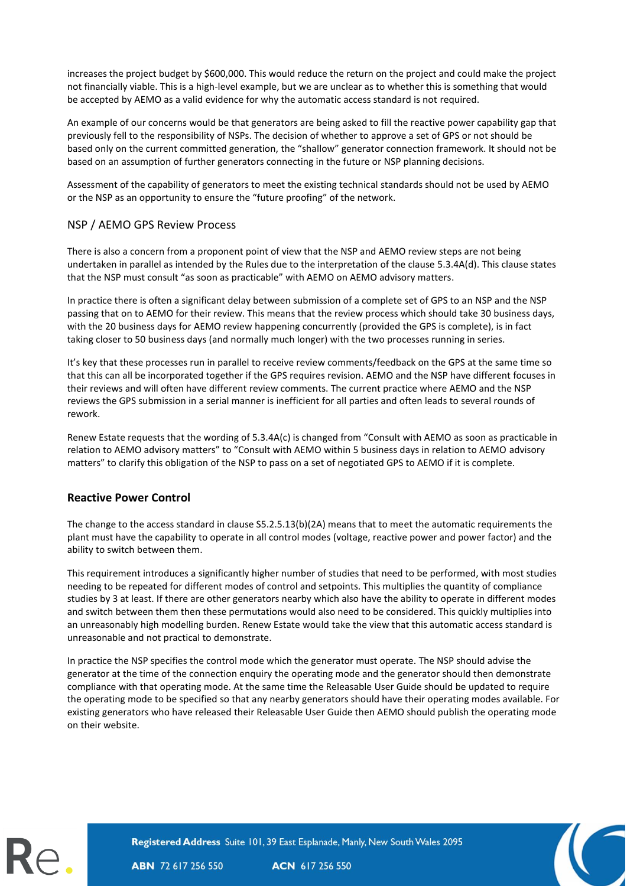increases the project budget by \$600,000. This would reduce the return on the project and could make the project not financially viable. This is a high-level example, but we are unclear as to whether this is something that would be accepted by AEMO as a valid evidence for why the automatic access standard is not required.

An example of our concerns would be that generators are being asked to fill the reactive power capability gap that previously fell to the responsibility of NSPs. The decision of whether to approve a set of GPS or not should be based only on the current committed generation, the "shallow" generator connection framework. It should not be based on an assumption of further generators connecting in the future or NSP planning decisions.

Assessment of the capability of generators to meet the existing technical standards should not be used by AEMO or the NSP as an opportunity to ensure the "future proofing" of the network.

## NSP / AEMO GPS Review Process

There is also a concern from a proponent point of view that the NSP and AEMO review steps are not being undertaken in parallel as intended by the Rules due to the interpretation of the clause 5.3.4A(d). This clause states that the NSP must consult "as soon as practicable" with AEMO on AEMO advisory matters.

In practice there is often a significant delay between submission of a complete set of GPS to an NSP and the NSP passing that on to AEMO for their review. This means that the review process which should take 30 business days, with the 20 business days for AEMO review happening concurrently (provided the GPS is complete), is in fact taking closer to 50 business days (and normally much longer) with the two processes running in series.

It's key that these processes run in parallel to receive review comments/feedback on the GPS at the same time so that this can all be incorporated together if the GPS requires revision. AEMO and the NSP have different focuses in their reviews and will often have different review comments. The current practice where AEMO and the NSP reviews the GPS submission in a serial manner is inefficient for all parties and often leads to several rounds of rework.

Renew Estate requests that the wording of 5.3.4A(c) is changed from "Consult with AEMO as soon as practicable in relation to AEMO advisory matters" to "Consult with AEMO within 5 business days in relation to AEMO advisory matters" to clarify this obligation of the NSP to pass on a set of negotiated GPS to AEMO if it is complete.

### **Reactive Power Control**

The change to the access standard in clause S5.2.5.13(b)(2A) means that to meet the automatic requirements the plant must have the capability to operate in all control modes (voltage, reactive power and power factor) and the ability to switch between them.

This requirement introduces a significantly higher number of studies that need to be performed, with most studies needing to be repeated for different modes of control and setpoints. This multiplies the quantity of compliance studies by 3 at least. If there are other generators nearby which also have the ability to operate in different modes and switch between them then these permutations would also need to be considered. This quickly multiplies into an unreasonably high modelling burden. Renew Estate would take the view that this automatic access standard is unreasonable and not practical to demonstrate.

In practice the NSP specifies the control mode which the generator must operate. The NSP should advise the generator at the time of the connection enquiry the operating mode and the generator should then demonstrate compliance with that operating mode. At the same time the Releasable User Guide should be updated to require the operating mode to be specified so that any nearby generators should have their operating modes available. For existing generators who have released their Releasable User Guide then AEMO should publish the operating mode on their website.



Registered Address Suite 101, 39 East Esplanade, Manly, New South Wales 2095

**ABN** 72 617 256 550

ACN 617 256 550